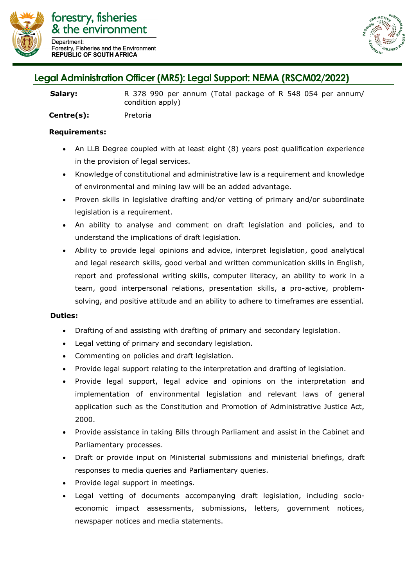

forestry, fisheries & the environment **Department** Forestry, Fisheries and the Environment **REPUBLIC OF SOUTH AFRICA** 



## **Legal Administration Officer (MR5): Legal Support: NEMA (RSCM02/2022)**

Salary: R 378 990 per annum (Total package of R 548 054 per annum/ condition apply)

**Centre(s):** Pretoria

## **Requirements:**

- An LLB Degree coupled with at least eight (8) years post qualification experience in the provision of legal services.
- Knowledge of constitutional and administrative law is a requirement and knowledge of environmental and mining law will be an added advantage.
- Proven skills in legislative drafting and/or vetting of primary and/or subordinate legislation is a requirement.
- An ability to analyse and comment on draft legislation and policies, and to understand the implications of draft legislation.
- Ability to provide legal opinions and advice, interpret legislation, good analytical and legal research skills, good verbal and written communication skills in English, report and professional writing skills, computer literacy, an ability to work in a team, good interpersonal relations, presentation skills, a pro-active, problemsolving, and positive attitude and an ability to adhere to timeframes are essential.

## **Duties:**

- Drafting of and assisting with drafting of primary and secondary legislation.
- Legal vetting of primary and secondary legislation.
- Commenting on policies and draft legislation.
- Provide legal support relating to the interpretation and drafting of legislation.
- Provide legal support, legal advice and opinions on the interpretation and implementation of environmental legislation and relevant laws of general application such as the Constitution and Promotion of Administrative Justice Act, 2000.
- Provide assistance in taking Bills through Parliament and assist in the Cabinet and Parliamentary processes.
- Draft or provide input on Ministerial submissions and ministerial briefings, draft responses to media queries and Parliamentary queries.
- Provide legal support in meetings.
- Legal vetting of documents accompanying draft legislation, including socioeconomic impact assessments, submissions, letters, government notices, newspaper notices and media statements.